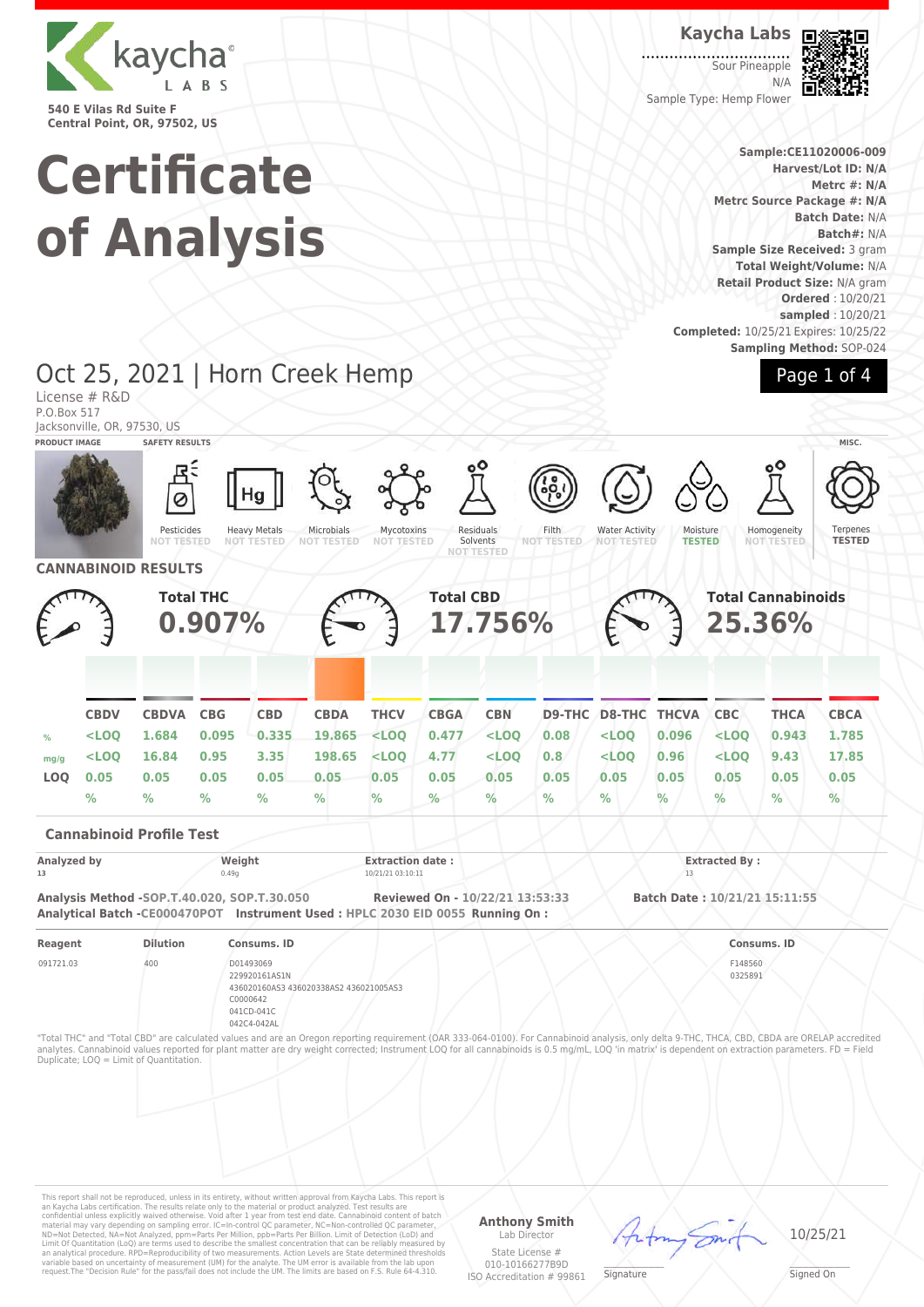

**Certificate of Analysis**

#### **Kaycha Labs**

Sour Pineapple N/A Sample Type: Hemp Flower



**Sample:CE11020006-009 Harvest/Lot ID: N/A Metrc #: N/A Metrc Source Package #: N/A Batch Date:** N/A **Batch#:** N/A **Sample Size Received:** 3 gram **Total Weight/Volume:** N/A **Retail Product Size:** N/A gram **Ordered** : 10/20/21 **sampled** : 10/20/21 **Completed:** 10/25/21 Expires: 10/25/22 **Sampling Method:** SOP-024

Page 1 of 4

#### Oct 25, 2021 | Horn Creek Hemp License # R&D P.O.Box 517 Jacksonville, OR, 97530, US **PRODUCT IMAGE SAFETY RESULTS MISC.** Pesticides **NOT TESTED** Heavy Metals **NOT TESTED** Microbials **NOT TESTED** Mycotoxins **NOT TESTED** Residuals Solvents **NOT TESTED** Filth **NOT TESTED** Water Activity **NOT TESTED** Moisture **TESTED Homogeneity NOT TESTED** Ternenes **TESTED CANNABINOID RESULTS Total THC 0.907% Total CBD 17.756% Total Cannabinoids 25.36% CBDV CBDVA CBG CBD CBDA THCV CBGA CBN D9-THC D8-THC THCVA CBC THCA CBCA % <LOQ 1.684 0.095 0.335 19.865 <LOQ 0.477 <LOQ 0.08 <LOQ 0.096 <LOQ 0.943 1.785 mg/g <LOQ 16.84 0.95 3.35 198.65 <LOQ 4.77 <LOQ 0.8 <LOQ 0.96 <LOQ 9.43 17.85 LOQ 0.05 0.05 0.05 0.05 0.05 0.05 0.05 0.05 0.05 0.05 0.05 0.05 0.05 0.05 % % % % % % % % % % % % % % Cannabinoid Profile Test Analyzed by Weight Extraction date : Extracted By : 13** 0.49g 10/21/21 03:10:11 13 **Analysis Method -SOP.T.40.020, SOP.T.30.050 Reviewed On - 10/22/21 13:53:33 Batch Date : 10/21/21 15:11:55 Analytical Batch -CE000470POT Instrument Used : HPLC 2030 EID 0055 Running On : Reagent Dilution Consums. ID Consums. ID** 091721.03 400 D01493069 229920161AS1N 436020160AS3 436020338AS2 436021005AS3 C0000642 041CD-041C 042C4-042AL F148560 0325891 "Total THC" and "Total CBD" are calculated values and are an Oregon reporting requirement (OAR 333-064-0100). For Cannabinoid analysis, only delta 9-THC, THCA, CBD, CBDA are ORELAP accredited analytes. Cannabinoid values reported for plant matter are dry weight corrected; Instrument LOQ for all cannabinoids is 0.5 mg/mL, LOQ 'in matrix' is dependent on extraction parameters. FD = Field Duplicate; LOQ = Limit of Quantitation.

This report shall not be reproduced, unless in its entirety, without written approval from Kaycha Labs. This report is<br>an Kaycha Labs certification. The results relate only to the material or product analyzed. Test results

**Anthony Smith** Lab Director State License #

010-10166277B9D ISO Accreditation # 99861

Signature

10/25/21

Signed On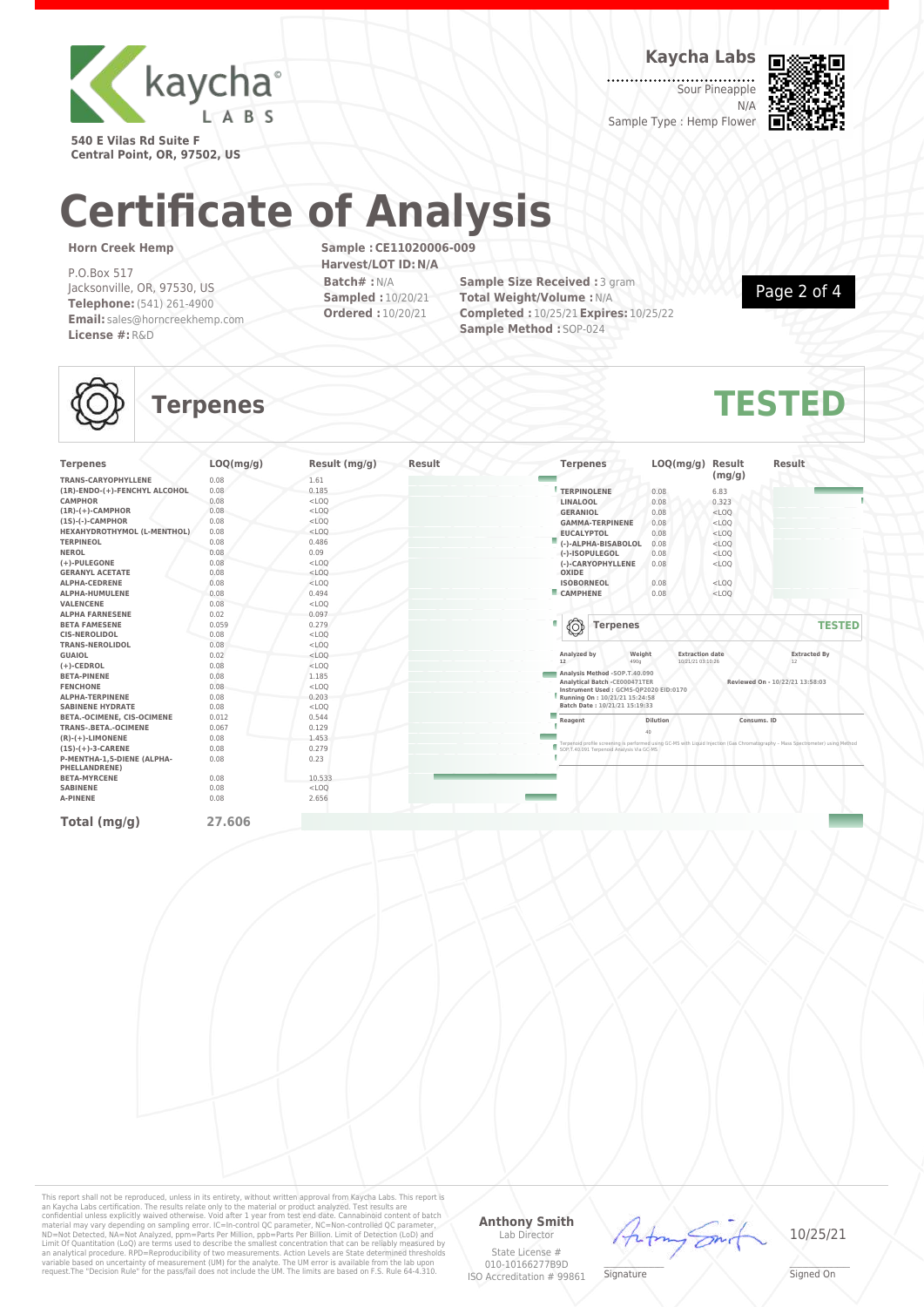

**Kaycha Labs**

Sour Pineapple N/A Sample Type : Hemp Flower



**540 E Vilas Rd Suite F Central Point, OR, 97502, US**

# **Certificate of Analysis**

#### **Horn Creek Hemp**

P.O.Box 517 Jacksonville, OR, 97530, US **Telephone:**(541) 261-4900 **Email:** sales@horncreekhemp.com **License #:**R&D

**Sample :CE11020006-009 Harvest/LOT ID:N/A Batch# :**N/A **Sampled :** 10/20/21 **Ordered :** 10/20/21

**Sample Size Received : 3 gram Total Weight/Volume :**N/A **Completed :** 10/25/21**Expires:** 10/25/22 **Sample Method :** SOP-024

Page 2 of 4

## **Terpenes TESTED**

| <b>Terpenes</b>                                    | LOQ(mg/g) | Result (mg/g) | Result | <b>Terpenes</b>               | LOQ(mg/g)                                                                                                  | Result      | <b>Result</b>                                                                                                                                                                 |
|----------------------------------------------------|-----------|---------------|--------|-------------------------------|------------------------------------------------------------------------------------------------------------|-------------|-------------------------------------------------------------------------------------------------------------------------------------------------------------------------------|
| <b>TRANS-CARYOPHYLLENE</b>                         | 0.08      | 1.61          |        |                               |                                                                                                            | (mg/g)      |                                                                                                                                                                               |
| (1R)-ENDO-(+)-FENCHYL ALCOHOL                      | 0.08      | 0.185         |        | <b>TERPINOLENE</b>            | 0.08                                                                                                       | 6.83        |                                                                                                                                                                               |
| <b>CAMPHOR</b>                                     | 0.08      | $<$ LOQ       |        | LINALOOL                      | 0.08                                                                                                       | 0.323       |                                                                                                                                                                               |
| $(1R)-(+)$ -CAMPHOR                                | 0.08      | $<$ LOQ       |        | <b>GERANIOL</b>               | 0.08                                                                                                       | $<$ LOQ     |                                                                                                                                                                               |
| $(15)-(-)$ -CAMPHOR                                | 0.08      | $<$ LOQ       |        | <b>GAMMA-TERPINENE</b>        | 0.08                                                                                                       | $<$ LOQ     |                                                                                                                                                                               |
| HEXAHYDROTHYMOL (L-MENTHOL)                        | 0.08      | $<$ LOQ       |        | <b>EUCALYPTOL</b>             | 0.08                                                                                                       | $<$ LOQ     |                                                                                                                                                                               |
| <b>TERPINEOL</b>                                   | 0.08      | 0.486         |        | (-)-ALPHA-BISABOLOL           | 0.08                                                                                                       | $<$ LOQ     |                                                                                                                                                                               |
| <b>NEROL</b>                                       | 0.08      | 0.09          |        | (-)-ISOPULEGOL                | 0.08                                                                                                       | $<$ LOQ     |                                                                                                                                                                               |
| (+)-PULEGONE                                       | 0.08      | $<$ LOQ       |        | (-)-CARYOPHYLLENE             | 0.08                                                                                                       | $<$ LOQ     |                                                                                                                                                                               |
| <b>GERANYL ACETATE</b>                             | 0.08      | $<$ LOQ       |        | OXIDE                         |                                                                                                            |             |                                                                                                                                                                               |
| <b>ALPHA-CEDRENE</b>                               | 0.08      | $<$ LOQ       |        | <b>ISOBORNEOL</b>             | 0.08                                                                                                       | $<$ LOQ     |                                                                                                                                                                               |
| ALPHA-HUMULENE                                     | 0.08      | 0.494         |        | CAMPHENE                      | 0.08                                                                                                       | $<$ LOO     |                                                                                                                                                                               |
| <b>VALENCENE</b>                                   | 0.08      | $<$ LOQ       |        |                               |                                                                                                            |             |                                                                                                                                                                               |
| <b>ALPHA FARNESENE</b>                             | 0.02      | 0.097         |        |                               |                                                                                                            |             |                                                                                                                                                                               |
| <b>BETA FAMESENE</b>                               | 0.059     | 0.279         |        | ◎<br><b>Terpenes</b>          |                                                                                                            |             | <b>TESTED</b>                                                                                                                                                                 |
| <b>CIS-NEROLIDOL</b>                               | 0.08      | $<$ LOQ       |        |                               |                                                                                                            |             |                                                                                                                                                                               |
| <b>TRANS-NEROLIDOL</b>                             | 0.08      | $<$ LOQ       |        |                               |                                                                                                            |             |                                                                                                                                                                               |
| <b>GUAIOL</b>                                      | 0.02      | $<$ LOQ       |        | Weight<br>Analyzed by         | <b>Extraction date</b>                                                                                     |             | <b>Extracted By</b>                                                                                                                                                           |
| $(+)$ -CEDROL                                      | 0.08      | $<$ LOQ       |        | 12<br>4900                    | 10/21/21 03:10:26                                                                                          |             | 12                                                                                                                                                                            |
| <b>BETA-PINENE</b>                                 | 0.08      | 1.185         |        | Analysis Method -SOP.T.40.090 |                                                                                                            |             |                                                                                                                                                                               |
| <b>FENCHONE</b>                                    | 0.08      | $<$ LOQ       |        |                               | Analytical Batch - CE000471TER<br>Reviewed On - 10/22/21 13:58:03<br>Instrument Used: GCMS-QP2020 EID:0170 |             |                                                                                                                                                                               |
| <b>ALPHA-TERPINENE</b>                             | 0.08      | 0.203         |        | Running On: 10/21/21 15:24:58 |                                                                                                            |             |                                                                                                                                                                               |
| <b>SABINENE HYDRATE</b>                            | 0.08      | $<$ LOQ       |        | Batch Date: 10/21/21 15:19:33 |                                                                                                            |             |                                                                                                                                                                               |
| BETA.-OCIMENE, CIS-OCIMENE                         | 0.012     | 0.544         |        | Reagent                       | <b>Dilution</b>                                                                                            | Consums, ID |                                                                                                                                                                               |
| <b>TRANS-.BETA.-OCIMENE</b>                        | 0.067     | 0.129         |        |                               |                                                                                                            |             |                                                                                                                                                                               |
| $(R)-(+)$ -LIMONENE                                | 0.08      | 1.453         |        |                               |                                                                                                            |             |                                                                                                                                                                               |
| $(1S)-(+)$ -3-CARENE                               | 0.08      | 0.279         |        |                               |                                                                                                            |             | Terpenoid profile screening is performed using GC-MS with Liquid Injection (Gas Chromatography - Mass Spectrometer) using Method<br>SOP.T.40.091 Terpenoid Analysis Via GC-MS |
| P-MENTHA-1,5-DIENE (ALPHA-<br><b>PHELLANDRENE)</b> | 0.08      | 0.23          |        |                               |                                                                                                            |             |                                                                                                                                                                               |
| <b>BETA-MYRCENE</b>                                | 0.08      | 10.533        |        |                               |                                                                                                            |             |                                                                                                                                                                               |
| <b>SABINENE</b>                                    | 0.08      | $<$ LOQ       |        |                               |                                                                                                            |             |                                                                                                                                                                               |
| <b>A-PINENE</b>                                    | 0.08      | 2.656         |        |                               |                                                                                                            |             |                                                                                                                                                                               |
| Total (mq/q)                                       | 27.606    |               |        |                               |                                                                                                            |             |                                                                                                                                                                               |

This report shall not be reproduced, unless in its entirety, without written approval from Kaycha Labs. This report is<br>an Kaycha Labs certification. The results relate only to the material or product analyzed. Test results

#### **Anthony Smith** Lab Director

State License # 010-10166277B9D frfn

10/25/21

\_\_\_\_\_\_\_\_\_\_\_\_\_\_\_\_\_\_\_ Signed On

ISO Accreditation # 99861 **Signature**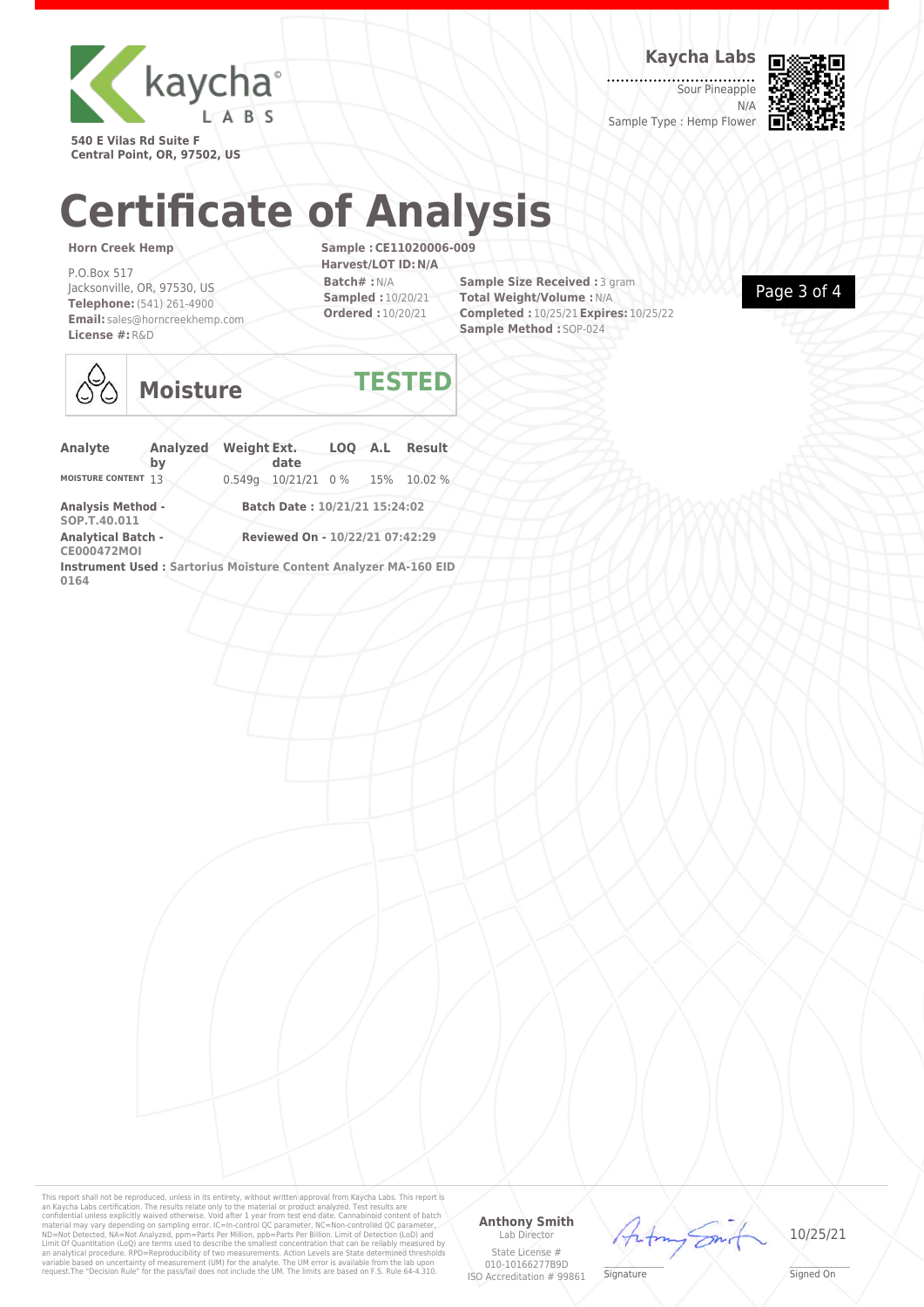

**Kaycha Labs**

Sour Pineapple N/A Sample Type : Hemp Flower



**540 E Vilas Rd Suite F Central Point, OR, 97502, US**

## **Certificate of Analysis**

#### **Horn Creek Hemp**

P.O.Box 517 Jacksonville, OR, 97530, US **Telephone:**(541) 261-4900 **Email:** sales@horncreekhemp.com **License #:**R&D

**Sample :CE11020006-009 Harvest/LOT ID:N/A Batch# :**N/A **Sampled :** 10/20/21 **Ordered :** 10/20/21

**Sample Size Received : 3 gram Total Weight/Volume :**N/A **Completed :** 10/25/21**Expires:** 10/25/22 **Sample Method :** SOP-024





## **Moisture TESTED**

| Analyte                                                                  | <b>Analyzed</b><br>bv | <b>Weight Ext.</b> | date                            |  | LOO A.L Result |
|--------------------------------------------------------------------------|-----------------------|--------------------|---------------------------------|--|----------------|
| <b>MOISTURE CONTENT</b>                                                  | 13                    |                    | 0.549q 10/21/21 0% 15% 10.02%   |  |                |
| <b>Analysis Method -</b><br>SOP.T.40.011                                 |                       |                    | Batch Date: 10/21/21 15:24:02   |  |                |
| <b>Analytical Batch -</b><br><b>CE000472MOI</b>                          |                       |                    | Reviewed On - 10/22/21 07:42:29 |  |                |
| Instrument Used : Sartorius Moisture Content Analyzer MA-160 EID<br>0164 |                       |                    |                                 |  |                |

This report shall not be reproduced, unless in its entirety, without written approval from Kaycha Labs. This report is<br>an Kaycha Labs certification. The results relate only to the material or product analyzed. Test results

#### **Anthony Smith** Lab Director

 $44$ 



\_\_\_\_\_\_\_\_\_\_\_\_\_\_\_\_\_\_\_ Signed On

State License # 010-10166277B9D ISO Accreditation # 99861

**Signature**